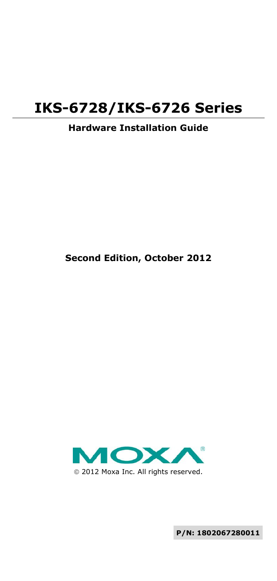# **IKS-6728/IKS-6726 Series**

#### **Hardware Installation Guide**

#### **Second Edition, October 2012**



**P/N: 1802067280011**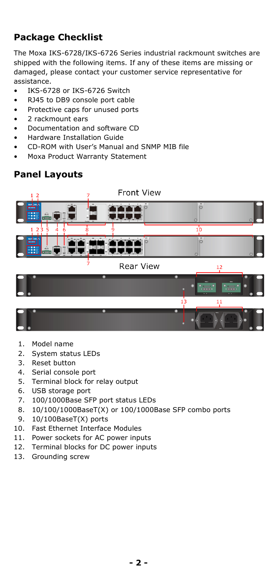# **Package Checklist**

The Moxa IKS-6728/IKS-6726 Series industrial rackmount switches are shipped with the following items. If any of these items are missing or damaged, please contact your customer service representative for assistance.

- IKS-6728 or IKS-6726 Switch
- RJ45 to DB9 console port cable
- Protective caps for unused ports
- 2 rackmount ears
- Documentation and software CD
- Hardware Installation Guide
- CD-ROM with User's Manual and SNMP MIB file
- Moxa Product Warranty Statement

#### **Panel Layouts**



- 1. Model name
- 2. System status LEDs
- 3. Reset button
- 4. Serial console port
- 5. Terminal block for relay output
- 6. USB storage port
- 7. 100/1000Base SFP port status LEDs
- 8. 10/100/1000BaseT(X) or 100/1000Base SFP combo ports
- 9. 10/100BaseT(X) ports
- 10. Fast Ethernet Interface Modules
- 11. Power sockets for AC power inputs
- 12. Terminal blocks for DC power inputs
- 13. Grounding screw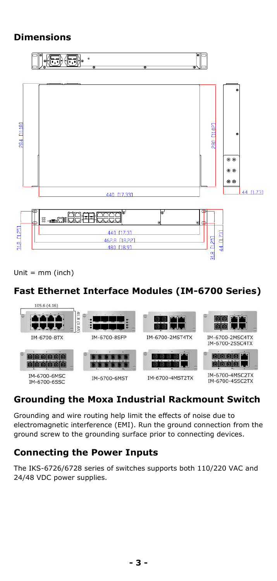### **Dimensions**



Unit = mm (inch)

## **Fast Ethernet Interface Modules (IM-6700 Series)**

| 105.6 (4.16)                 |                            |                                            |                                    |
|------------------------------|----------------------------|--------------------------------------------|------------------------------------|
| <b>יז זיז</b>                | 合<br>ò<br>(1.65)           |                                            |                                    |
| IM-6700-8TX                  | IM-6700-8SFP               | IM-6700-2MST4TX                            | IM-6700-2MSC4TX<br>IM-6700-2SSC4TX |
| $\bullet$                    | $\bullet$<br>$\bullet$<br> | .<br>$\overline{\phantom{a}}$<br>$\bullet$ | <u>o o </u>                        |
| IM-6700-6MSC<br>TM-6700-6SSC | IM-6700-6MST               | IM-6700-4MST2TX                            | IM-6700-4MSC2TX<br>IM-6700-4SSC2TX |

# **Grounding the Moxa Industrial Rackmount Switch**

Grounding and wire routing help limit the effects of noise due to electromagnetic interference (EMI). Run the ground connection from the ground screw to the grounding surface prior to connecting devices.

#### **Connecting the Power Inputs**

The IKS-6726/6728 series of switches supports both 110/220 VAC and 24/48 VDC power supplies.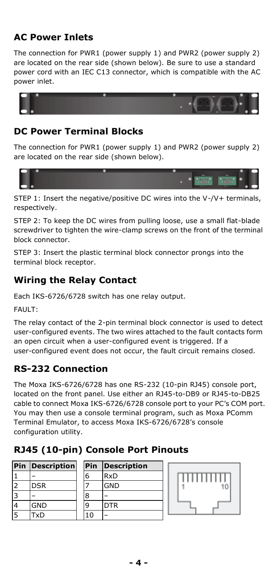## **AC Power Inlets**

The connection for PWR1 (power supply 1) and PWR2 (power supply 2) are located on the rear side (shown below). Be sure to use a standard power cord with an IEC C13 connector, which is compatible with the AC power inlet.



### **DC Power Terminal Blocks**

The connection for PWR1 (power supply 1) and PWR2 (power supply 2) are located on the rear side (shown below).



STEP 1: Insert the negative/positive DC wires into the V-/V+ terminals, respectively.

STEP 2: To keep the DC wires from pulling loose, use a small flat-blade screwdriver to tighten the wire-clamp screws on the front of the terminal block connector.

STEP 3: Insert the plastic terminal block connector prongs into the terminal block receptor.

# **Wiring the Relay Contact**

Each IKS-6726/6728 switch has one relay output.

FAULT:

The relay contact of the 2-pin terminal block connector is used to detect user-configured events. The two wires attached to the fault contacts form an open circuit when a user-configured event is triggered. If a user-configured event does not occur, the fault circuit remains closed.

# **RS-232 Connection**

The Moxa IKS-6726/6728 has one RS-232 (10-pin RJ45) console port, located on the front panel. Use either an RJ45-to-DB9 or RJ45-to-DB25 cable to connect Moxa IKS-6726/6728 console port to your PC's COM port. You may then use a console terminal program, such as Moxa PComm Terminal Emulator, to access Moxa IKS-6726/6728's console configuration utility.

# **RJ45 (10-pin) Console Port Pinouts**

|                | <b>Pin Description</b> | Pin | <b>Description</b> |
|----------------|------------------------|-----|--------------------|
|                |                        | 6   | <b>RxD</b>         |
| 2              | <b>DSR</b>             |     | <b>GND</b>         |
| 3              |                        | 8   |                    |
|                | <b>GND</b>             |     | <b>DTR</b>         |
| $\overline{5}$ | TxD                    | 10  |                    |

| Pin | <b>Description</b> |
|-----|--------------------|
| 6   | <b>RxD</b>         |
|     | GND                |
| 8   |                    |
| q   | <b>DTR</b>         |
| 10  |                    |

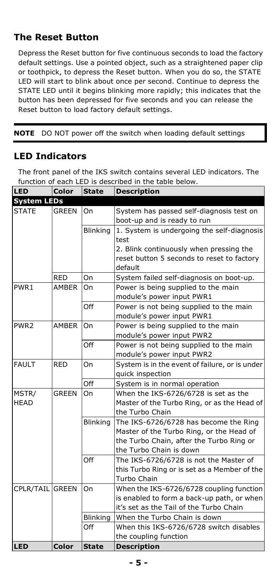#### **The Reset Button**

Depress the Reset button for five continuous seconds to load the factory default settings. Use a pointed object, such as a straightened paper clip or toothpick, to depress the Reset button. When you do so, the STATE LED will start to blink about once per second. Continue to depress the STATE LED until it begins blinking more rapidly; this indicates that the button has been depressed for five seconds and you can release the Reset button to load factory default settings.

**NOTE** DO NOT power off the switch when loading default settings

#### **LED Indicators**

The front panel of the IKS switch contains several LED indicators. The function of each LED is described in the table below.

| LED                | Color        | <b>State</b>    | <b>Description</b>                             |
|--------------------|--------------|-----------------|------------------------------------------------|
| <b>System LEDs</b> |              |                 |                                                |
| <b>STATE</b>       | <b>GREEN</b> | On              | System has passed self-diagnosis test on       |
|                    |              |                 | boot-up and is ready to run                    |
|                    |              | Blinking        | 1. System is undergoing the self-diagnosis     |
|                    |              |                 | test                                           |
|                    |              |                 | 2. Blink continuously when pressing the        |
|                    |              |                 | reset button 5 seconds to reset to factory     |
|                    |              |                 | default                                        |
|                    | <b>RED</b>   | On              | System failed self-diagnosis on boot-up.       |
| PWR <sub>1</sub>   | <b>AMBER</b> | On              | Power is being supplied to the main            |
|                    |              |                 | module's power input PWR1                      |
|                    |              | Off             | Power is not being supplied to the main        |
|                    |              |                 | module's power input PWR1                      |
| PWR <sub>2</sub>   | <b>AMBER</b> | On              | Power is being supplied to the main            |
|                    |              |                 | module's power input PWR2                      |
|                    |              | Off             | Power is not being supplied to the main        |
|                    |              |                 | module's power input PWR2                      |
| <b>FAULT</b>       | <b>RED</b>   | On              | System is in the event of failure, or is under |
|                    |              |                 | quick inspection                               |
|                    |              | Off             | System is in normal operation                  |
| MSTR/              | <b>GREEN</b> | On              | When the IKS-6726/6728 is set as the           |
| <b>HEAD</b>        |              |                 | Master of the Turbo Ring, or as the Head of    |
|                    |              |                 | the Turbo Chain                                |
|                    |              | <b>Blinking</b> | The IKS-6726/6728 has become the Ring          |
|                    |              |                 | Master of the Turbo Ring, or the Head of       |
|                    |              |                 | the Turbo Chain, after the Turbo Ring or       |
|                    |              |                 | the Turbo Chain is down                        |
|                    |              | Off             | The IKS-6726/6728 is not the Master of         |
|                    |              |                 | this Turbo Ring or is set as a Member of the   |
|                    |              |                 | Turbo Chain                                    |
| CPLR/TAIL GREEN    |              | On              | When the IKS-6726/6728 coupling function       |
|                    |              |                 | is enabled to form a back-up path, or when     |
|                    |              |                 | it's set as the Tail of the Turbo Chain        |
|                    |              | <b>Blinking</b> | When the Turbo Chain is down                   |
|                    |              | Off             | When this IKS-6726/6728 switch disables        |
|                    |              |                 | the coupling function                          |
| LED                | Color        | <b>State</b>    | <b>Description</b>                             |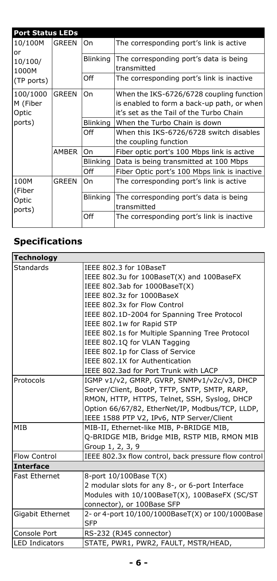| <b>Port Status LEDs</b>           |       |                 |                                                       |
|-----------------------------------|-------|-----------------|-------------------------------------------------------|
| 10/100M<br>or<br>10/100/<br>1000M | GREEN | On              | The corresponding port's link is active               |
|                                   |       | <b>Blinking</b> | The corresponding port's data is being<br>transmitted |
| (TP ports)                        |       | Off             | The corresponding port's link is inactive             |
| 100/1000                          | GREEN | On              | When the IKS-6726/6728 coupling function              |
| M (Fiber                          |       |                 | is enabled to form a back-up path, or when            |
| Optic                             |       |                 | it's set as the Tail of the Turbo Chain               |
| ports)                            |       | Blinking        | When the Turbo Chain is down                          |
|                                   |       | Off             | When this IKS-6726/6728 switch disables               |
|                                   |       |                 | the coupling function                                 |
|                                   | AMBER | On              | Fiber optic port's 100 Mbps link is active            |
|                                   |       | <b>Blinking</b> | Data is being transmitted at 100 Mbps                 |
|                                   |       | Off             | Fiber Optic port's 100 Mbps link is inactive          |
| 100M<br>(Fiber                    | GREEN | On              | The corresponding port's link is active               |
| Optic<br>ports)                   |       | <b>Blinking</b> | The corresponding port's data is being<br>transmitted |
|                                   |       | Off             | The corresponding port's link is inactive             |

# **Specifications**

| IEEE 802.3 for 10BaseT                               |
|------------------------------------------------------|
| IEEE 802.3u for 100BaseT(X) and 100BaseFX            |
| IEEE 802.3ab for 1000BaseT(X)                        |
| IEEE 802.3z for 1000BaseX                            |
| IEEE 802.3x for Flow Control                         |
| IEEE 802.1D-2004 for Spanning Tree Protocol          |
| IEEE 802.1w for Rapid STP                            |
| IEEE 802.1s for Multiple Spanning Tree Protocol      |
| IEEE 802.10 for VLAN Tagging                         |
| IEEE 802.1p for Class of Service                     |
| IEEE 802.1X for Authentication                       |
| IEEE 802.3ad for Port Trunk with LACP                |
| IGMP v1/v2, GMRP, GVRP, SNMPv1/v2c/v3, DHCP          |
| Server/Client, BootP, TFTP, SNTP, SMTP, RARP,        |
| RMON, HTTP, HTTPS, Telnet, SSH, Syslog, DHCP         |
| Option 66/67/82, EtherNet/IP, Modbus/TCP, LLDP,      |
| IEEE 1588 PTP V2, IPv6, NTP Server/Client            |
| MIB-II, Ethernet-like MIB, P-BRIDGE MIB,             |
| Q-BRIDGE MIB, Bridge MIB, RSTP MIB, RMON MIB         |
| Group 1, 2, 3, 9                                     |
| IEEE 802.3x flow control, back pressure flow control |
|                                                      |
| 8-port 10/100Base T(X)                               |
| 2 modular slots for any 8-, or 6-port Interface      |
| Modules with 10/100BaseT(X), 100BaseFX (SC/ST        |
| connector), or 100Base SFP                           |
| 2- or 4-port 10/100/1000BaseT(X) or 100/1000Base     |
| <b>SFP</b>                                           |
| RS-232 (RJ45 connector)                              |
| STATE, PWR1, PWR2, FAULT, MSTR/HEAD,                 |
|                                                      |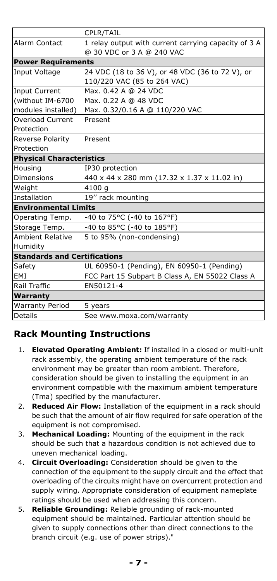|                                     | CPLR/TAIL                                            |
|-------------------------------------|------------------------------------------------------|
| Alarm Contact                       | 1 relay output with current carrying capacity of 3 A |
|                                     | @ 30 VDC or 3 A @ 240 VAC                            |
| <b>Power Requirements</b>           |                                                      |
| Input Voltage                       | 24 VDC (18 to 36 V), or 48 VDC (36 to 72 V), or      |
|                                     | 110/220 VAC (85 to 264 VAC)                          |
| <b>Input Current</b>                | Max, 0.42 A @ 24 VDC                                 |
| (without IM-6700                    | Max. 0.22 A @ 48 VDC                                 |
| modules installed)                  | Max. 0.32/0.16 A @ 110/220 VAC                       |
| <b>Overload Current</b>             | Present                                              |
| Protection                          |                                                      |
| Reverse Polarity                    | Present                                              |
| Protection                          |                                                      |
| <b>Physical Characteristics</b>     |                                                      |
| Housing                             | IP30 protection                                      |
| Dimensions                          | 440 x 44 x 280 mm (17.32 x 1.37 x 11.02 in)          |
| Weight                              | 4100 g                                               |
| Installation                        | 19" rack mounting                                    |
| <b>Environmental Limits</b>         |                                                      |
| Operating Temp.                     | -40 to 75°C (-40 to 167°F)                           |
| Storage Temp.                       | -40 to 85°C (-40 to 185°F)                           |
| <b>Ambient Relative</b>             | 5 to 95% (non-condensing)                            |
| Humidity                            |                                                      |
| <b>Standards and Certifications</b> |                                                      |
| Safety                              | UL 60950-1 (Pending), EN 60950-1 (Pending)           |
| EMI                                 | FCC Part 15 Subpart B Class A, EN 55022 Class A      |
| Rail Traffic                        | EN50121-4                                            |
| Warranty                            |                                                      |
| <b>Warranty Period</b>              | 5 years                                              |
| <b>Details</b>                      | See www.moxa.com/warranty                            |

# **Rack Mounting Instructions**

- 1. **Elevated Operating Ambient:** If installed in a closed or multi-unit rack assembly, the operating ambient temperature of the rack environment may be greater than room ambient. Therefore, consideration should be given to installing the equipment in an environment compatible with the maximum ambient temperature (Tma) specified by the manufacturer.
- 2. **Reduced Air Flow:** Installation of the equipment in a rack should be such that the amount of air flow required for safe operation of the equipment is not compromised.
- 3. **Mechanical Loading:** Mounting of the equipment in the rack should be such that a hazardous condition is not achieved due to uneven mechanical loading.
- 4. **Circuit Overloading:** Consideration should be given to the connection of the equipment to the supply circuit and the effect that overloading of the circuits might have on overcurrent protection and supply wiring. Appropriate consideration of equipment nameplate ratings should be used when addressing this concern.
- 5. **Reliable Grounding:** Reliable grounding of rack-mounted equipment should be maintained. Particular attention should be given to supply connections other than direct connections to the branch circuit (e.g. use of power strips)."